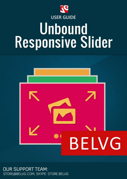

# Unbound<br>Responsive Slider



**OUR SUPPORT TEAM:** STORE@BELVG.COM, SKYPE: STORE.BELVG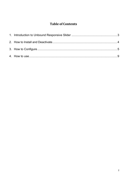# **Table of Contents**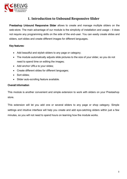

## **1. Introduction to Unbound Responsive Slider**

<span id="page-2-0"></span>Prestashop Unbound Responsive Slider allows to create and manage multiple sliders on the web-store. The main advantage of our module is the simplicity of installation and usage – it does not require any programming skills on the side of the end-user. You can easily create slides and sliders, sort slides and create different images for different languages.

#### Key features:

- Add beautiful and stylish sliders to any page or category;
- The module automatically adjusts slide pictures to the size of your slider, so you do not need to spend time on editing the images;
- Add anchor URLs to your slides;
- Create different slides for different languages;
- Sort slides;
- Slider auto-scrolling feature available.

#### Overall Information

This module is another convenient and simple extension to work with sliders on your Prestashop store.

This extension will let you add one or several sliders to any page or shop category. Simple settings and intuitive interface will help you create and add eye-catching sliders within just a few minutes, so you will not need to spend hours on learning how the module works.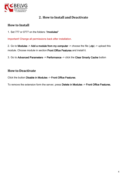

## **2. How to Install and Deactivate**

# <span id="page-3-0"></span>**How to Install**

1. Set 777 or 0777 on the folders: '/modules/'

Important! Change all permissions back after installation.

2. Go to Modules -> Add a module from my computer -> choose the file (.zip) -> upload this module. Choose module in section Front Office Features and install it.

3. Go to Advanced Parameters -> Performance -> click the Clear Smarty Cache button

## **How to Deactivate**

Click the button Disable in Modules -> Front Office Features.

To remove the extension form the server, press Delete in Modules -> Front Office Features.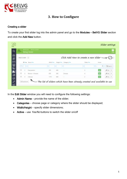

# **3. How to Configure**

#### <span id="page-4-0"></span>Creating a slider

To create your first slider log into the admin panel and go to the Modules – BelVG Slider section and click the Add New button.

| Q            |           |                  | MODULES TROVOSIDER<br><b>Belvg Slider</b> |                 |     |                          |                                                        |        |              |  |
|--------------|-----------|------------------|-------------------------------------------|-----------------|-----|--------------------------|--------------------------------------------------------|--------|--------------|--|
| 命目           |           | MAGIC SLIDER (3) |                                           |                 |     |                          | Click Add New to create a new slider $\longrightarrow$ |        | $\bigcirc$   |  |
|              |           |                  | ID = Name = =                             | Width <b>TA</b> |     | Height = 4 Catalgory = 4 | $S$ lides $\blacktriangledown$ $\blacktriangle$        | Active |              |  |
| 2 つきの 日 海のメタ |           |                  |                                           |                 |     |                          |                                                        | ٠      | Q Search     |  |
|              | 田         | z                | Free position                             | 270             | 400 | $\Rightarrow$            | x                                                      |        | $P$ Edit $=$ |  |
|              | <b>UI</b> | 3                | Women -> Dresses                          | 富70             | 300 | Dresses                  | A                                                      |        | $#$ Edit $#$ |  |
|              | 63        | w                | 2-blouse                                  | 1170            | 600 | $\sim$                   | $\overline{2}$                                         |        | $P$ Edit $V$ |  |

In the Edit Slider window you will need to configure the following settings:

- Admin Name provide the name of the slider;
- Categories choose page or category where the slider should be displayed;
- Width/Height specify slider dimensions;
- Active use  $Yes/No$  buttons to switch the slider on/off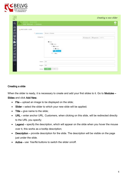

| 45<br>Edit: Women > Dresses |                                       |                                         |
|-----------------------------|---------------------------------------|-----------------------------------------|
| MAGIC SLIDER + SLIDER       |                                       |                                         |
| · Administance              | Women -> Dresses                      |                                         |
| Categories                  |                                       | El Collapse All El Expand All Secretive |
|                             | <b>B</b> Root                         |                                         |
|                             | $@ \Leftrightarrow$ Home<br>0 每 Women |                                         |
|                             | $\odot$ to Topic<br>$0$ is treaty     |                                         |
|                             | $\mathbb{O}$ = Men                    |                                         |
|                             |                                       |                                         |
| Width:                      | 870                                   |                                         |
| Height                      | 1000                                  |                                         |

#### Creating a slide

When the slider is ready, it is necessary to create and add your first slides to it. Go to Modules -Slides and click Add New.

- File upload an image to be displayed on the slide;
- Slider select the slider to which your new slide will be applied;
- $\bullet$  Title give name to the slide;
- URL enter anchor URL. Customers, when clicking on this slide, will be redirected directly to the URL you specify;
- Legend specify the description, which will appear on the slide when you hover the mouse over it, this works as a tooltip description;
- Description provide description for the slide. The description will be visible on the page just under the slide.
- Active use Yes/No buttons to switch the slider on/off.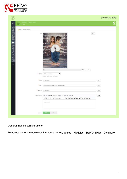

|                                   |                                                                                                     | Creating a slide |
|-----------------------------------|-----------------------------------------------------------------------------------------------------|------------------|
| $\mathbf{Q}$<br>$\mathbf{E}$ Edit |                                                                                                     |                  |
| $MAGE$ SLIDER $\sim$ SLIDE        |                                                                                                     |                  |
| 4 日目望も中央の人気な回<br>File:<br>i       |                                                                                                     | $\pm 1$ .        |
|                                   | Choose a file<br>$\bullet$<br>* Stder: #2 Free position                                             |                  |
|                                   | Please, assum more with sident                                                                      |                  |
|                                   | * Title: Price-match                                                                                | en *             |
| # URL:                            | http://module-presta.com/price-match.html                                                           | en w             |
| *Legend)                          | Price match                                                                                         | $60$ $^{\circ}$  |
| Description:                      | Edit . Insert . View . Format . Table . Tools .<br><b>④ B I U S Paragraph → 野 A 三 三 画 画 % S 日 国</b> | $69.9$           |
|                                   | Price match                                                                                         |                  |
|                                   |                                                                                                     |                  |

## General module configurations

To access general module configurations go to Modules – Modules – BelVG Slider – Configure.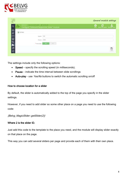

| Q                   | <b>LEASTER MEASURE FOUNDING</b><br>Configure "Unbound Responsive Slider" module |            | £.<br>e<br>Back Check and update Manager hour |
|---------------------|---------------------------------------------------------------------------------|------------|-----------------------------------------------|
| <b>EXTINGS</b><br>鳳 |                                                                                 |            |                                               |
| _<br>÷              | 1500                                                                            |            |                                               |
|                     | 3000<br>Pauset                                                                  |            |                                               |
|                     | " Auto play:<br>HE'S                                                            | <b>TAC</b> |                                               |
|                     |                                                                                 |            | $\sum_{n=1}^{\infty}$                         |

The settings include only the following options:

- Speed specify the scrolling speed (in milliseconds);
- Pause indicate the time interval between slide scrollings
- Auto-play use Yes/No buttons to switch the automatic scrolling on/off

#### How to choose location for a slider

By default, the slider is automatically added to the top of the page you specify in the slider settings.

However, if you need to add slider so some other place on a page you need to use the following code:

#### {Belvg\_MagicSlider::getSlider(2)}

#### Where 2 is the slider ID.

Just add this code to the template to the place you need, and the module will display slider exactly on that place on the page.

This way you can add several sliders per page and provide each of them with their own place.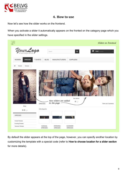

### **4. How to use**

<span id="page-8-0"></span>Now let's see how the slider works on the frontend.

When you activate a slider it automatically appears on the fronted on the category page which you have specified in the slider settings.



By default the slider appears at the top of the page, however, you can specify another location by customizing the template with a special code (refer to How to choose location for a slider section for more details).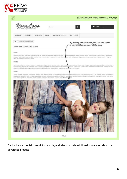

|                   |                                                            |                 |                                                                                                                                                                                                                                                                                                                                                                                                                                                                                                                                                                |         |                                     | Slider displayed at the bottom of the page |  |
|-------------------|------------------------------------------------------------|-----------------|----------------------------------------------------------------------------------------------------------------------------------------------------------------------------------------------------------------------------------------------------------------------------------------------------------------------------------------------------------------------------------------------------------------------------------------------------------------------------------------------------------------------------------------------------------------|---------|-------------------------------------|--------------------------------------------|--|
|                   | <u> Your Logo</u>                                          |                 | Search                                                                                                                                                                                                                                                                                                                                                                                                                                                                                                                                                         |         | Q                                   | Cart (imply)                               |  |
| <b>WOMEN</b>      | DRESSES                                                    | <b>T-SHIRTS</b> | <b>MANUFACTURERS</b><br><b>BLOG</b>                                                                                                                                                                                                                                                                                                                                                                                                                                                                                                                            |         | <b>SUPPLIERS</b>                    |                                            |  |
|                   | Terms and conditions of use<br>TERMS AND CONDITIONS OF USE |                 |                                                                                                                                                                                                                                                                                                                                                                                                                                                                                                                                                                |         | to any location on your static page | By adding the template you can add slider  |  |
| RULE <sub>1</sub> |                                                            |                 |                                                                                                                                                                                                                                                                                                                                                                                                                                                                                                                                                                |         |                                     |                                            |  |
|                   | rifficia deserunt molit anim id est laborum.               |                 | Larem ipsum daler sit what come clear adipisions all, sed its eiusmod temper incidibut ut labore et adore magna aloga. Ut enim ad minim veriam, quis nostrud executation allamoc labore ris ut<br>aliquip ex ex commode consequal. Dura suite intre dolor in reprehended in voluptate velit esse cilium dolare eu foguit rulla pariatur. Excepteur sint occascat copidatat non proident, sunt in curpo qui                                                                                                                                                     |         |                                     |                                            |  |
| RULE <sub>2</sub> |                                                            |                 |                                                                                                                                                                                                                                                                                                                                                                                                                                                                                                                                                                |         |                                     |                                            |  |
|                   |                                                            |                 | Sed do exismed tempor incididunt ut labore et dalore magna aliqua. Ut eram ad minim renjom, quin nortrud asecutation ullamco laborin nini ut aliquip ex ex commodo consequat. Dura aute inve dalor in<br>reprehendert in voluptate velt wase cilium dolore en fogut nulla partitur. Exception oint occasiont cupidatat non proxilent, sunt in culpa qui officia deserunt moliti anni ill est laborum. Lorem quam dolor<br>sit amet come cletur adipisicing elit, sed do express import incididant ut labore et dolore magita aliqua. Ut seem ad minim veniames |         |                                     |                                            |  |
| RULE 3            |                                                            |                 |                                                                                                                                                                                                                                                                                                                                                                                                                                                                                                                                                                |         |                                     |                                            |  |
|                   |                                                            |                 | Tempor incididunt ut labore et dolore magna aliqua. Ut enim ad minim verilam, quis nostrud exercitation ullamco abonis misi ut aliquip ex ea commodo consequat. Duis aute nure dolor in reprehendent in<br>voluptate velit esse cilium dolore eu tugat nulla panatur. Excepteur sint occaecat cupidatat non prodent, sunt in folpa qui officia desenunt molit anim id est laborum. Lorem ipsum dolor sit annet conse-                                                                                                                                          |         |                                     |                                            |  |
|                   |                                                            |                 |                                                                                                                                                                                                                                                                                                                                                                                                                                                                                                                                                                |         |                                     |                                            |  |
|                   |                                                            |                 |                                                                                                                                                                                                                                                                                                                                                                                                                                                                                                                                                                |         |                                     |                                            |  |
|                   |                                                            |                 |                                                                                                                                                                                                                                                                                                                                                                                                                                                                                                                                                                | $\circ$ |                                     |                                            |  |

Each slide can contain description and legend which provide additional information about the advertised product.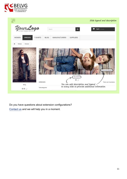



Do you have questions about extension configurations? [Contact](http://module-presta.com/contacts/) us and we will help you in a moment.